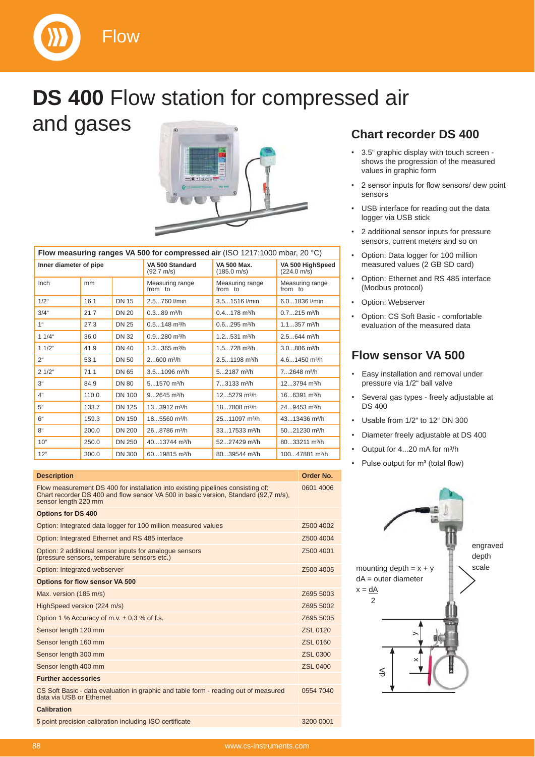



# **DS 400** Flow station for compressed air and gases



| Flow measuring ranges VA 500 for compressed air (ISO 1217:1000 mbar, 20 $°C$ ) |                         |                            |                                   |  |  |  |
|--------------------------------------------------------------------------------|-------------------------|----------------------------|-----------------------------------|--|--|--|
| the search of the search of a continue of                                      | $1.118$ FOO Office dead | $\frac{1}{2}$ 1/4 FOO MALL | $\frac{1}{2}$ MA FOO HIGH OUTLAND |  |  |  |

| Inner diameter of pipe |       | VA 500 Standard<br>$(92.7 \text{ m/s})$ | <b>VA 500 Max.</b><br>(185.0 m/s) | VA 500 HighSpeed<br>$(224.0 \text{ m/s})$ |                             |
|------------------------|-------|-----------------------------------------|-----------------------------------|-------------------------------------------|-----------------------------|
| Inch                   | mm    |                                         | Measuring range<br>from to        | Measuring range<br>from to                | Measuring range<br>from to  |
| $1/2$ "                | 16.1  | <b>DN 15</b>                            | 2.5760 l/min                      | 3.51516 l/min                             | $6.01836$ I/min             |
| $3/4$ "                | 21.7  | <b>DN 20</b>                            | $0.389$ m <sup>3</sup> /h         | $0.4178$ m <sup>3</sup> /h                | $0.7215$ m <sup>3</sup> /h  |
| 1 <sup>ii</sup>        | 27.3  | <b>DN 25</b>                            | $0.5148$ m <sup>3</sup> /h        | $0.6295$ m <sup>3</sup> /h                | $1.1357$ m <sup>3</sup> /h  |
| $11/4$ "               | 36.0  | <b>DN 32</b>                            | $0.9280$ m <sup>3</sup> /h        | $1.2531$ m <sup>3</sup> /h                | $2.5644$ m <sup>3</sup> /h  |
| $11/2$ "               | 41.9  | <b>DN 40</b>                            | $1.2365$ m <sup>3</sup> /h        | $1.5728$ m <sup>3</sup> /h                | $3.0886$ m <sup>3</sup> /h  |
| 2 <sup>ii</sup>        | 53.1  | <b>DN 50</b>                            | $2600$ m <sup>3</sup> /h          | $2.51198$ m <sup>3</sup> /h               | 4.61450 m <sup>3</sup> /h   |
| $21/2$ "               | 71.1  | DN 65                                   | $3.51096$ m <sup>3</sup> /h       | $52187$ m <sup>3</sup> /h                 | $72648$ m <sup>3</sup> /h   |
| 3 <sup>4</sup>         | 84.9  | <b>DN 80</b>                            | $51570$ m <sup>3</sup> /h         | $73133$ m <sup>3</sup> /h                 | 123794 m <sup>3</sup> /h    |
| 4"                     | 110.0 | <b>DN 100</b>                           | $92645$ m <sup>3</sup> /h         | 125279 m <sup>3</sup> /h                  | $166391$ m <sup>3</sup> /h  |
| 5"                     | 133.7 | <b>DN 125</b>                           | 133912 m <sup>3</sup> /h          | 187808 m <sup>3</sup> /h                  | $249453$ m <sup>3</sup> /h  |
| 6"                     | 159.3 | <b>DN 150</b>                           | 185560 m <sup>3</sup> /h          | 2511097 m <sup>3</sup> /h                 | $4313436$ m <sup>3</sup> /h |
| 8"                     | 200.0 | <b>DN 200</b>                           | 26.8786 m <sup>3</sup> /h         | $3317533$ m <sup>3</sup> /h               | $5021230$ m <sup>3</sup> /h |
| 10 <sup>4</sup>        | 250.0 | <b>DN 250</b>                           | 4013744 m <sup>3</sup> /h         | 5227429 m <sup>3</sup> /h                 | 8033211 m <sup>3</sup> /h   |
| $12^{\circ}$           | 300.0 | <b>DN 300</b>                           | $6019815$ m <sup>3</sup> /h       | $8039544$ m <sup>3</sup> /h               | 10047881 m <sup>3</sup> /h  |

| <b>Description</b>                                                                                                                                                                             | Order No.       |
|------------------------------------------------------------------------------------------------------------------------------------------------------------------------------------------------|-----------------|
| Flow measurement DS 400 for installation into existing pipelines consisting of:<br>Chart recorder DS 400 and flow sensor VA 500 in basic version, Standard (92,7 m/s),<br>sensor length 220 mm | 0601 4006       |
| <b>Options for DS 400</b>                                                                                                                                                                      |                 |
| Option: Integrated data logger for 100 million measured values                                                                                                                                 | Z500 4002       |
| Option: Integrated Ethernet and RS 485 interface                                                                                                                                               | Z500 4004       |
| Option: 2 additional sensor inputs for analogue sensors<br>(pressure sensors, temperature sensors etc.)                                                                                        | Z500 4001       |
| Option: Integrated webserver                                                                                                                                                                   | Z500 4005       |
| <b>Options for flow sensor VA 500</b>                                                                                                                                                          |                 |
| Max. version (185 m/s)                                                                                                                                                                         | Z695 5003       |
| HighSpeed version (224 m/s)                                                                                                                                                                    | Z695 5002       |
| Option 1 % Accuracy of m.v. $\pm$ 0.3 % of f.s.                                                                                                                                                | Z695 5005       |
| Sensor length 120 mm                                                                                                                                                                           | ZSL 0120        |
| Sensor length 160 mm                                                                                                                                                                           | ZSL 0160        |
| Sensor length 300 mm                                                                                                                                                                           | <b>ZSL 0300</b> |
| Sensor length 400 mm                                                                                                                                                                           | <b>ZSL 0400</b> |
| <b>Further accessories</b>                                                                                                                                                                     |                 |
| CS Soft Basic - data evaluation in graphic and table form - reading out of measured<br>data via USB or Ethernet                                                                                | 0554 7040       |
| <b>Calibration</b>                                                                                                                                                                             |                 |
| 5 point precision calibration including ISO certificate                                                                                                                                        | 3200 0001       |

### **Chart recorder DS 400**

- 3.5" graphic display with touch screen shows the progression of the measured values in graphic form
- 2 sensor inputs for flow sensors/ dew point sensors
- USB interface for reading out the data logger via USB stick
- 2 additional sensor inputs for pressure sensors, current meters and so on
- Option: Data logger for 100 million measured values (2 GB SD card)
- Option: Ethernet and RS 485 interface (Modbus protocol)
- Option: Webserver
- Option: CS Soft Basic comfortable evaluation of the measured data

### **Flow sensor VA 500**

- Easy installation and removal under pressure via 1/2" ball valve
- Several gas types freely adjustable at DS 400
- Usable from 1/2" to 12" DN 300
- Diameter freely adjustable at DS 400
- Output for 4...20 mA for m<sup>3</sup>/h
- Pulse output for m<sup>3</sup> (total flow)

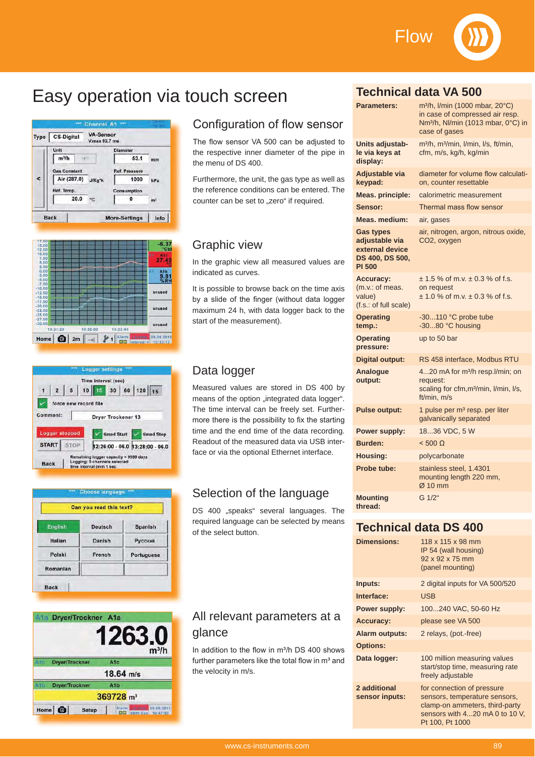Flow



# Easy operation via touch screen







| Can you read this text? |                |                |  |  |  |  |
|-------------------------|----------------|----------------|--|--|--|--|
| <b>English</b>          | <b>Deutsch</b> | Spanish        |  |  |  |  |
| Italian                 | Danish         | <b>Русский</b> |  |  |  |  |
| Polski                  | French         | Portuguese     |  |  |  |  |
| Romanian                |                |                |  |  |  |  |

|     | Ata Dryer/Trockner A1a        |                                                       |  |
|-----|-------------------------------|-------------------------------------------------------|--|
|     |                               | 1263.0<br>$m^3/h$                                     |  |
| Afr | <b>Dryer/Trockner</b>         | A <sub>1</sub> c                                      |  |
|     |                               | $18.64$ m/s                                           |  |
| A15 | <b>Dryer/Trockner</b>         | A1b                                                   |  |
|     |                               | 369728 m <sup>3</sup>                                 |  |
|     | Home <b>O</b><br><b>Setup</b> | 09.09.2013<br>Atarm  <br><b>OD</b> 19999 Day 10:47:55 |  |

### Configuration of flow sensor

The flow sensor VA 500 can be adjusted to the respective inner diameter of the pipe in the menu of DS 400.

Furthermore, the unit, the gas type as well as the reference conditions can be entered. The counter can be set to "zero" if required.

### Graphic view

In the graphic view all measured values are indicated as curves.

It is possible to browse back on the time axis by a slide of the finger (without data logger maximum 24 h, with data logger back to the start of the measurement).

### Data logger

Measured values are stored in DS 400 by means of the option "integrated data logger". The time interval can be freely set. Furthermore there is the possibility to fix the starting time and the end time of the data recording. Readout of the measured data via USB interface or via the optional Ethernet interface.

### Selection of the language

DS 400 "speaks" several languages. The required language can be selected by means of the select button.

### All relevant parameters at a glance

In addition to the flow in m<sup>3</sup>/h DS 400 shows further parameters like the total flow in m<sup>3</sup> and the velocity in m/s.

### **Technical data VA 500**

| <b>Parameters:</b>                                                                        | m <sup>3</sup> /h, I/min (1000 mbar, 20°C)<br>in case of compressed air resp.<br>Nm <sup>3</sup> /h, Nl/min (1013 mbar, 0°C) in<br>case of gases |
|-------------------------------------------------------------------------------------------|--------------------------------------------------------------------------------------------------------------------------------------------------|
| Units adjustab-<br>le via keys at<br>display:                                             | m <sup>3</sup> /h, m <sup>3</sup> /min, l/min, l/s, ft/min,<br>cfm, m/s, kg/h, kg/min                                                            |
| Adjustable via<br>keypad:                                                                 | diameter for volume flow calculati-<br>on, counter resettable                                                                                    |
| <b>Meas. principle:</b>                                                                   | calorimetric measurement                                                                                                                         |
| Sensor:                                                                                   | Thermal mass flow sensor                                                                                                                         |
| Meas. medium:                                                                             | air, gases                                                                                                                                       |
| <b>Gas types</b><br>adjustable via<br>external device<br>DS 400, DS 500,<br><b>PI 500</b> | air, nitrogen, argon, nitrous oxide,<br>CO2, oxygen                                                                                              |
| <b>Accuracy:</b><br>(m.v.: of meas.<br>value)<br>(f.s.: of full scale)                    | $\pm$ 1.5 % of m.v. $\pm$ 0.3 % of f.s.<br>on request<br>$\pm$ 1.0 % of m.v. $\pm$ 0.3 % of f.s.                                                 |
| <b>Operating</b><br>temp.:                                                                | -30110 °C probe tube<br>-3080 °C housing                                                                                                         |
| <b>Operating</b><br>pressure:                                                             | up to 50 bar                                                                                                                                     |
| <b>Digital output:</b>                                                                    | RS 458 interface, Modbus RTU                                                                                                                     |
| Analogue<br>output:                                                                       | 420 mA for m <sup>3</sup> /h resp.l/min; on<br>request:<br>scaling for cfm, m <sup>3</sup> /min, I/min, I/s,<br>ft/min. m/s                      |
| <b>Pulse output:</b>                                                                      | 1 pulse per m <sup>3</sup> resp. per liter<br>galvanically separated                                                                             |
| <b>Power supply:</b>                                                                      | 1836 VDC, 5 W                                                                                                                                    |
| Burden:                                                                                   | $< 500 \Omega$                                                                                                                                   |
| Housing:                                                                                  | polycarbonate                                                                                                                                    |
| Probe tube:                                                                               | stainless steel, 1.4301<br>mounting length 220 mm,<br>$Ø$ 10 mm                                                                                  |
| <b>Mounting</b><br>thread:                                                                | G 1/2"                                                                                                                                           |

### **Technical data DS 400**

| <b>Dimensions:</b>             | 118 x 115 x 98 mm<br>IP 54 (wall housing)<br>92 x 92 x 75 mm<br>(panel mounting)                                                                   |
|--------------------------------|----------------------------------------------------------------------------------------------------------------------------------------------------|
| Inputs:                        | 2 digital inputs for VA 500/520                                                                                                                    |
| Interface:                     | <b>USB</b>                                                                                                                                         |
| <b>Power supply:</b>           | 100240 VAC, 50-60 Hz                                                                                                                               |
| <b>Accuracy:</b>               | please see VA 500                                                                                                                                  |
| <b>Alarm outputs:</b>          | 2 relays, (pot.-free)                                                                                                                              |
| <b>Options:</b>                |                                                                                                                                                    |
| Data logger:                   | 100 million measuring values<br>start/stop time, measuring rate<br>freely adjustable                                                               |
| 2 additional<br>sensor inputs: | for connection of pressure<br>sensors, temperature sensors,<br>clamp-on ammeters, third-party<br>sensors with 420 mA 0 to 10 V.<br>Pt 100, Pt 1000 |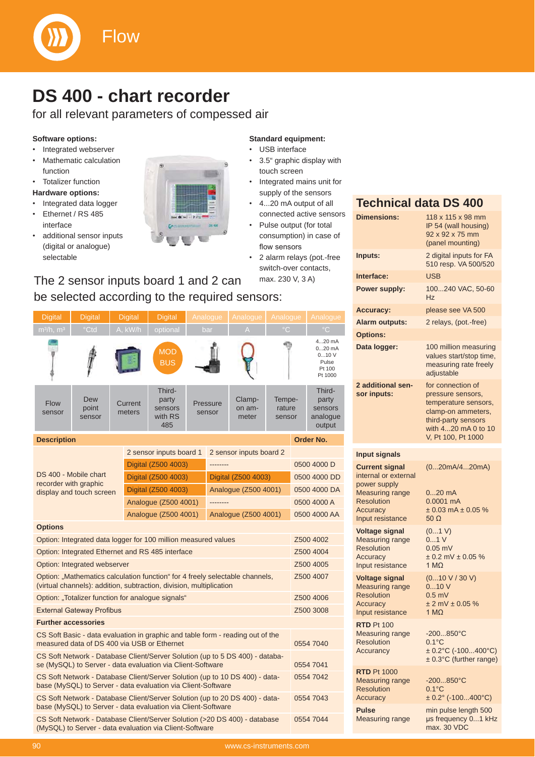

### **DS 400 - chart recorder**

for all relevant parameters of compessed air

### **Software options:**

- Integrated webserver
- Mathematic calculation function
- Totalizer function

### **Hardware options:**

- Integrated data logger
- Ethernet / RS 485 interface
- additional sensor inputs (digital or analogue) selectable



### **Standard equipment:** USB interface

- 3.5" graphic display with touch screen
- Integrated mains unit for supply of the sensors
- 4...20 mA output of all connected active sensors
- Pulse output (for total consumption) in case of flow sensors
- 2 alarm relays (pot.-free switch-over contacts, The 2 sensor inputs board 1 and 2 can max. 230 V, 3 A)

#### **Description And Description And Description And Description And Description And Description And Description And Description And Description And Description And Description And Description And Description And Description A** DS 400 - Mobile chart recorder with graphic display and touch screen 2 sensor inputs board 1 2 sensor inputs board 2 Digital (Z500 4003) -------- 0500 4000 D Digital (Z500 4003) Digital (Z500 4003) 0500 4000 DD Digital (Z500 4003) Analogue (Z500 4001) 0500 4000 DA Analogue (Z500 4001) -------- 0500 4000 A Analogue (Z500 4001) Analogue (Z500 4001) 0500 4000 AA **Options** Option: Integrated data logger for 100 million measured values Z500 4002 Option: Integrated Ethernet and RS 485 interface Z500 4004 Option: Integrated webserver **Z500 4005** Option: ..Mathematics calculation function" for 4 freely selectable channels, (virtual channels): addition, subtraction, division, multiplication Z500 4007 Option: "Totalizer function for analogue signals" <br>
2500 4006 External Gateway Profibus and Company Company Company Company Company Company Company Company Company Company Company Company Company Company Company Company Company Company Company Company Company Company Company Company **Further accessories** CS Soft Basic - data evaluation in graphic and table form - reading out of the measured data of DS 400 via USB or Ethernet 0554 7040 CS Soft Network - Database Client/Server Solution (up to 5 DS 400) - database (MySQL) to Server - data evaluation via Client-Software 0554 7041 Digital Digital Digital Digital MOD **BUS** Flow sensor Dew point sensor **Current** meters Thirdparty sensors with RS 485 Pressure sensor Clampon ammeter Temperature sensor Thirdparty sensors analogue output 4...20 mA 0...20 mA 0...10 V Pulse Pt 100 Pt 1000 be selected according to the required sensors:

CS Soft Network - Database Client/Server Solution (up to 10 DS 400) - database (MySQL) to Server - data evaluation via Client-Software 0554 7042 0554 7043

CS Soft Network - Database Client/Server Solution (up to 20 DS 400) - database (MySQL) to Server - data evaluation via Client-Software

CS Soft Network - Database Client/Server Solution (>20 DS 400) - database (MySQL) to Server - data evaluation via Client-Software

|                       | (panel mounting)                                |
|-----------------------|-------------------------------------------------|
| Inputs:               | 2 digital inputs for FA<br>510 resp. VA 500/520 |
| Interface:            | <b>USB</b>                                      |
| <b>Power supply:</b>  | 100240 VAC, 50-60<br>Hz                         |
| <b>Accuracy:</b>      | please see VA 500                               |
| <b>Alarm outputs:</b> | 2 relays, (pot.-free)                           |

adjustable

for connection of pressure sensors, temperature sensors, clamp-on ammeters, third-party sensors with 4...20 mA 0 to 10<br>V. Pt 100. Pt 1000

**Data logger:** 100 million measuring

IP 54 (wall housing) 92 x 92 x 75 mm

# **Input signals**

**2 additional sensor inputs:**

**Options:**

**Current signal** internal or external power supply Measuring range **Resolution Accuracy** Input resistance

**Voltage signal** Measuring range Resolution **Accuracy** Input resistance

**Voltage signal** Measuring range Resolution **Accuracy** Input resistance

**RTD** Pt 100 Measuring range Resolution **Accurancy** 

**RTD** Pt 1000 Measuring range Resolution **Accuracy** 

**Pulse** Measuring range 0...20 mA 0.0001 mA  $± 0.03$  mA  $± 0.05$  % 50 O  $(0...1 V)$ 0...1 V 0.05 mV  $± 0.2$  mV  $± 0.05$  %  $1 M<sub>Q</sub>$ 

(0...20mA/4...20mA)

values start/stop time, measuring rate freely

(0...10 V / 30 V) 0...10 V 0.5 mV  $± 2$  mV  $± 0.05$  % 1 MO

-200...850°C 0.1°C ± 0.2°C (-100...400°C) ± 0.3°C (further range)

-200...850°C 0.1°C ± 0.2° (-100...400°C)

min pulse length 500 s frequency 0...1 kHz max. 30 VDC

0554 7044

### **Technical data DS 400 Dimensions:** 118 x 115 x 98 mm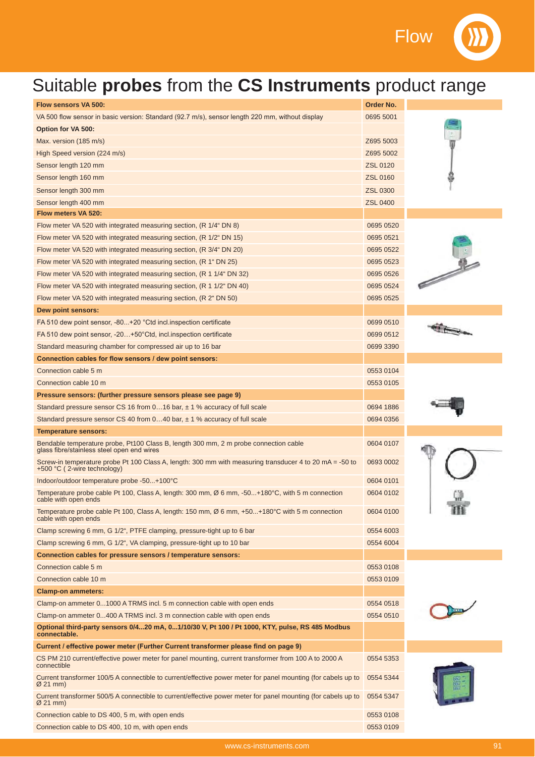**Flow** 

## Suitable **probes** from the **CS Instruments** product range

| <b>Flow sensors VA 500:</b>                                                                                                            | Order No.       |  |
|----------------------------------------------------------------------------------------------------------------------------------------|-----------------|--|
| VA 500 flow sensor in basic version: Standard (92.7 m/s), sensor length 220 mm, without display                                        | 0695 5001       |  |
| <b>Option for VA 500:</b>                                                                                                              |                 |  |
| Max. version (185 m/s)                                                                                                                 | Z695 5003       |  |
| High Speed version (224 m/s)                                                                                                           | Z695 5002       |  |
| Sensor length 120 mm                                                                                                                   | <b>ZSL 0120</b> |  |
| Sensor length 160 mm                                                                                                                   | <b>ZSL 0160</b> |  |
| Sensor length 300 mm                                                                                                                   | <b>ZSL 0300</b> |  |
| Sensor length 400 mm                                                                                                                   | <b>ZSL 0400</b> |  |
| Flow meters VA 520:                                                                                                                    |                 |  |
| Flow meter VA 520 with integrated measuring section, (R 1/4" DN 8)                                                                     | 0695 0520       |  |
| Flow meter VA 520 with integrated measuring section, (R 1/2" DN 15)                                                                    | 0695 0521       |  |
| Flow meter VA 520 with integrated measuring section, (R 3/4" DN 20)                                                                    | 0695 0522       |  |
| Flow meter VA 520 with integrated measuring section, (R 1" DN 25)                                                                      | 0695 0523       |  |
| Flow meter VA 520 with integrated measuring section, (R 1 1/4" DN 32)                                                                  | 0695 0526       |  |
| Flow meter VA 520 with integrated measuring section, (R 1 1/2" DN 40)                                                                  | 0695 0524       |  |
| Flow meter VA 520 with integrated measuring section, (R 2" DN 50)                                                                      | 0695 0525       |  |
| Dew point sensors:                                                                                                                     |                 |  |
| FA 510 dew point sensor, -80+20 °Ctd incl.inspection certificate                                                                       | 0699 0510       |  |
| FA 510 dew point sensor, -20+50°Ctd, incl.inspection certificate                                                                       | 0699 0512       |  |
| Standard measuring chamber for compressed air up to 16 bar                                                                             | 0699 3390       |  |
| Connection cables for flow sensors / dew point sensors:                                                                                |                 |  |
| Connection cable 5 m                                                                                                                   | 0553 0104       |  |
| Connection cable 10 m                                                                                                                  | 0553 0105       |  |
| Pressure sensors: (further pressure sensors please see page 9)                                                                         |                 |  |
| Standard pressure sensor CS 16 from 016 bar, $\pm$ 1 % accuracy of full scale                                                          | 0694 1886       |  |
| Standard pressure sensor CS 40 from $040$ bar, $\pm$ 1 % accuracy of full scale                                                        | 0694 0356       |  |
| <b>Temperature sensors:</b>                                                                                                            |                 |  |
| Bendable temperature probe, Pt100 Class B, length 300 mm, 2 m probe connection cable<br>glass fibre/stainless steel open end wires     | 0604 0107       |  |
| Screw-in temperature probe Pt 100 Class A, length: 300 mm with measuring transducer 4 to 20 mA = -50 to<br>+500 °C (2-wire technology) | 0693 0002       |  |
| Indoor/outdoor temperature probe -50+100°C                                                                                             | 0604 0101       |  |
| Temperature probe cable Pt 100, Class A, length: 300 mm, $\varnothing$ 6 mm, -50+180°C, with 5 m connection<br>cable with open ends    | 0604 0102       |  |
| Temperature probe cable Pt 100, Class A, length: 150 mm, Ø 6 mm, +50+180°C with 5 m connection<br>cable with open ends                 | 0604 0100       |  |
| Clamp screwing 6 mm, G 1/2", PTFE clamping, pressure-tight up to 6 bar                                                                 | 0554 6003       |  |
| Clamp screwing 6 mm, G 1/2", VA clamping, pressure-tight up to 10 bar                                                                  | 0554 6004       |  |
| Connection cables for pressure sensors / temperature sensors:                                                                          |                 |  |
| Connection cable 5 m                                                                                                                   | 0553 0108       |  |
| Connection cable 10 m                                                                                                                  | 0553 0109       |  |
| <b>Clamp-on ammeters:</b>                                                                                                              |                 |  |
| Clamp-on ammeter 01000 A TRMS incl. 5 m connection cable with open ends                                                                | 0554 0518       |  |
| Clamp-on ammeter 0400 A TRMS incl. 3 m connection cable with open ends                                                                 | 0554 0510       |  |
| Optional third-party sensors 0/420 mA, 01/10/30 V, Pt 100 / Pt 1000, KTY, pulse, RS 485 Modbus<br>connectable.                         |                 |  |
| Current / effective power meter (Further Current transformer please find on page 9)                                                    |                 |  |
| CS PM 210 current/effective power meter for panel mounting, current transformer from 100 A to 2000 A<br>connectible                    | 0554 5353       |  |
| Current transformer 100/5 A connectible to current/effective power meter for panel mounting (for cabels up to<br>Ø 21 mm)              | 0554 5344       |  |
| Current transformer 500/5 A connectible to current/effective power meter for panel mounting (for cabels up to<br>Ø 21 mm)              | 0554 5347       |  |
| Connection cable to DS 400, 5 m, with open ends                                                                                        | 0553 0108       |  |
| Connection cable to DS 400, 10 m, with open ends                                                                                       | 0553 0109       |  |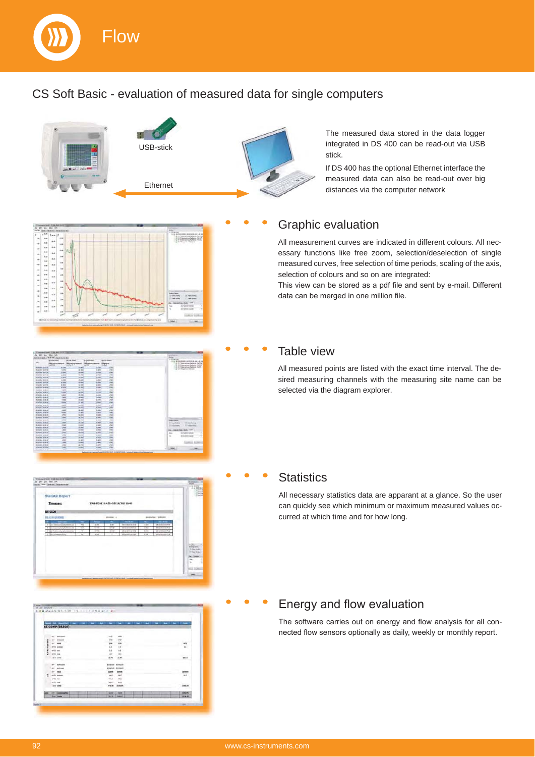

### CS Soft Basic - evaluation of measured data for single computers



The measured data stored in the data logger integrated in DS 400 can be read-out via USB stick.

If DS 400 has the optional Ethernet interface the measured data can also be read-out over big distances via the computer network

# 111111111111111 **1 1 1 1 1 1 1 1 1 1 1 1 1 1 1** 11111111 ÷.

# ETT ETT



|                      |                                      | - |                |                |  | - -                         |
|----------------------|--------------------------------------|---|----------------|----------------|--|-----------------------------|
|                      | <b>CS-CONP (05500)</b>               |   |                |                |  |                             |
|                      |                                      |   |                |                |  |                             |
|                      | <b>WATER</b>                         |   | 8122           | $-$            |  |                             |
|                      | <b>MASSAGE</b>                       |   | <b>with</b>    | <b>ATM</b>     |  |                             |
| <b>N3 VA 420 SQI</b> | $\sim$<br><b>Solve</b>               |   |                | $\ddot{ }$     |  |                             |
|                      | --                                   |   | H              | $\overline{1}$ |  | $\frac{1}{16}$              |
|                      |                                      |   | 44             | $^{14}$        |  |                             |
|                      | with me.                             |   | is/            | 188            |  | <b>Carry Carry</b>          |
|                      | <b>Built country</b>                 |   | 43.26          | 44.80          |  | 33.64                       |
|                      | <b>Mark Issued</b>                   |   | <b>BYRENIK</b> | <b>Bibbink</b> |  |                             |
|                      | <b>And guid</b>                      |   | <b>ATACUR</b>  | <b>ASCARD</b>  |  |                             |
|                      | $-$                                  |   | \$39.00        | 8,194          |  | <b>CONTRACTOR</b><br>101909 |
| z                    | and, assure                          |   | 3441           | 144.7          |  | $n + 1$                     |
|                      | arta, aux                            |   | 541 8          | <b>INC</b>     |  |                             |
|                      | and Jun                              |   | <b>MAI</b>     | <b>TALLS</b>   |  |                             |
|                      | <b>Euro conto</b>                    |   | 115.00         | 3636.84        |  | 1104.04                     |
|                      | 50                                   |   |                |                |  | Contest Ed                  |
|                      | e.<br>----                           |   | <b>GENE</b>    | <b>BEEN!</b>   |  | <b>SHOW</b>                 |
|                      | ستنتبذ<br><b>Sec</b><br><b>Josep</b> |   | 79179          | <b>SHOULD</b>  |  | 3496.00                     |

### Graphic evaluation

All measurement curves are indicated in different colours. All necessary functions like free zoom, selection/deselection of single measured curves, free selection of time periods, scaling of the axis, selection of colours and so on are integrated:

This view can be stored as a pdf file and sent by e-mail. Different data can be merged in one million file.

### Table view

All measured points are listed with the exact time interval. The desired measuring channels with the measuring site name can be selected via the diagram explorer.

### **Statistics**

All necessary statistics data are apparant at a glance. So the user can quickly see which minimum or maximum measured values occurred at which time and for how long.

### Energy and flow evaluation

The software carries out on energy and flow analysis for all connected flow sensors optionally as daily, weekly or monthly report.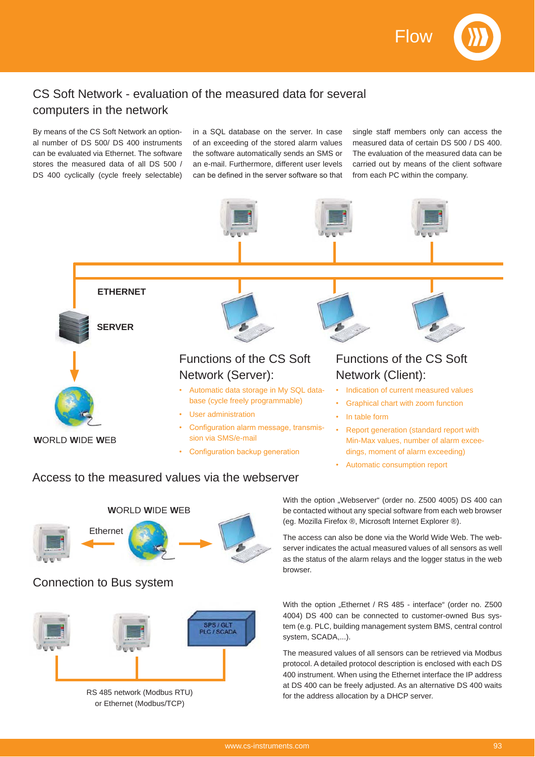Flow



### CS Soft Network - evaluation of the measured data for several computers in the network

By means of the CS Soft Network an optional number of DS 500/ DS 400 instruments can be evaluated via Ethernet. The software stores the measured data of all DS 500 / DS 400 cyclically (cycle freely selectable)

in a SQL database on the server. In case of an exceeding of the stored alarm values the software automatically sends an SMS or an e-mail. Furthermore, different user levels can be defined in the server software so that

single staff members only can access the measured data of certain DS 500 / DS 400. The evaluation of the measured data can be carried out by means of the client software from each PC within the company.



### Automatic consumption report

### Access to the measured values via the webserver



### Connection to Bus system



or Ethernet (Modbus/TCP)

With the option "Webserver" (order no. Z500 4005) DS 400 can be contacted without any special software from each web browser (eg. Mozilla Firefox ®, Microsoft Internet Explorer ®).

The access can also be done via the World Wide Web. The webserver indicates the actual measured values of all sensors as well as the status of the alarm relays and the logger status in the web browser.

With the option "Ethernet / RS 485 - interface" (order no. Z500 4004) DS 400 can be connected to customer-owned Bus system (e.g. PLC, building management system BMS, central control system, SCADA,...).

The measured values of all sensors can be retrieved via Modbus protocol. A detailed protocol description is enclosed with each DS 400 instrument. When using the Ethernet interface the IP address at DS 400 can be freely adjusted. As an alternative DS 400 waits RS 485 network (Modbus RTU) for the address allocation by a DHCP server.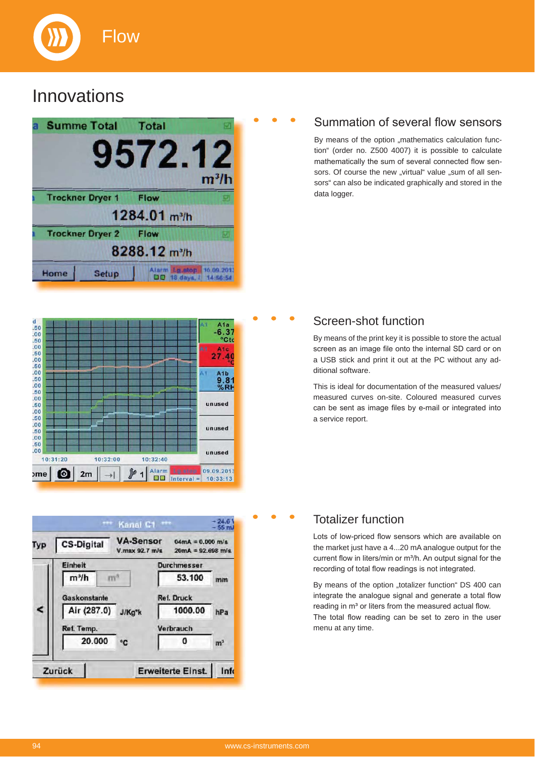

### **Innovations**



### Summation of several flow sensors

By means of the option ..mathematics calculation function" (order no. Z500 4007) it is possible to calculate mathematically the sum of several connected flow sensors. Of course the new "virtual" value "sum of all sensors" can also be indicated graphically and stored in the data logger.



#### Kanal C1 \*\*\* **VA-Sensor**  $0.4mA = 0.000 m/s$ **CS-Digital** Typ V.max 92.7 m/s  $20mA = 92.698 m/s$ Einheit **Durchmesser** 53.100  $m<sup>3</sup>/h$  $\mathbf{m}^3$ mm Gaskonstante **Ref. Druck** Air (287.0) J/Kg\*k < 1000.00  $hPa$ Ref. Temp. Verbrauch 20.000 0  $^{\circ}$ C  $m<sup>3</sup>$ Zurück **Erweiterte Einst.** Info

### Screen-shot function

By means of the print key it is possible to store the actual screen as an image file onto the internal SD card or on a USB stick and print it out at the PC without any additional software.

This is ideal for documentation of the measured values/ measured curves on-site. Coloured measured curves can be sent as image files by e-mail or integrated into a service report.

### Totalizer function

Lots of low-priced flow sensors which are available on the market just have a 4...20 mA analogue output for the current flow in liters/min or  $m^3/h$ . An output signal for the recording of total flow readings is not integrated.

By means of the option "totalizer function" DS 400 can integrate the analogue signal and generate a total flow reading in m<sup>3</sup> or liters from the measured actual flow. The total flow reading can be set to zero in the user menu at any time.